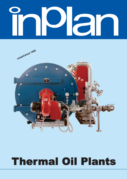# Γ



# **Thermal Oil Plants**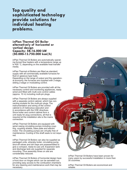**Top quality and** sophisticated technology provide solutions for individual heating problems.

#### inPlan Thermal Oil Boiler alternatively of horizontal or vertical design **Capacity: 58-16.000 kW**  $(50.000 - 13.750.000 \text{ kcal/h})$

inPlan Thermal Oil Boilers are automatically operating forced flow heaters with a temperature range up to 400 ˚C, depending on the available heat transfer media.

inPlan Thermal oil Boilers are fitted as standard supply with all commercially available furnaces for fluid or gaseous type fuels. Depending on the range of output and the operation-

al economy, the furnaces are supplied with 2-stage, sliding 2-stage or modulating control.

inPlan Thermal Oil Boilers are provided with all the necessary control and monitoring appliances, ready wired and fitted with multi-core control cables (approx. 10 m) including multi-pin plugs.

inPlan Thermal Oil Boilers are always supplied with a separate control cabinet, which has connecting sockets for the multi-pin plugs. The instrumentation and wiring of the control cabinet is of meticulous execution and in accordance with the VDE directives. Since boiler and control cabinet form a unit ready for plug connections, all that is required at the installation site is the mains connection.

inPlan Thermal Oil Boilers are equipped with spiral casing circulating pumps including coupling, coupling shields, base plate and electric motor. The circulating pumps are virtually free of maintenance. Cooling of the shaft seals is not required.

inPlan Thermal Oil Boilers can also be supplied as packaged units, whereby boiler, circulating pump, shut-off valves and dirt traps are preassembled to give a compact, ready-to-use unit. Expansion tank and discharge tank are supplied for separate mounting. Thus assembly times on site are considerably reduced.

inPlan Thermal Oil Boilers of horizontal design have a front door on hinges which can be swivelled out, providing easy access to the combustion chambers for any cleaning and maintenance work that may be necessary.

inPlan Thermal Oil Boilers have been proven for many years by successful installation in more than 30 countries.

inPlan Thermal Oil Boilers are economical and reliable.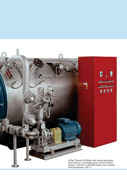

Output: 1163 kW (1.000.000 kcal/h) max. outward flow temperature: 300 ˚C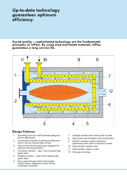# Up-to-date technology guarantees optimum efficiency.

Sound quality – sophisticated technology are the fundamental principles of inPlan. By using tried and tested materials inPlan .<br>guarantees a long service life.



## **Design Features**

- Swivelling front door with assembly flange for burner attachment. 1.
- Combustion chamber of generous dimension, built to suit the various types of fuel. 2.
- Second and third flue gas pass designed for optimum heat transmission. 3.
- Convection section pipe coil of special high grade steel. 4.
- Radiation section pipe coil of special high grade steel. 5.
- Rear panel through which heat transfer medium flows, designed to close off the combustion chamber. 6.
- Gastight welded boiler shell made of steel. 7.
- 8. High grade heat insulation with mineral fibre.
- Exterior insulation jacket made from galvanised sheet steel or aluminium sheet. 9.
- 10. Heat transfer medium inlet.
- 11. Heat transfer medium outlet.
- 12. Flue gas discharge.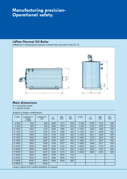# **Manufacturing precision-**Operational safety.

#### inPlan-Thermal Oil Boiler

(difference in temperature between outward flow and return flow 20 ˚C)



### Main dimensions

H = horizontal model

V = vertical model

Subject to design modifications

| <b>TYPE</b>                                    | <b>CAPACITY</b><br>kcal/h<br>x 1000 | <b>CAPACITY</b><br>kW | A<br>mm | ØΒ<br>mm | ØC<br>mm | <b>TYPE</b>       | A<br>mm | ØB<br>mm | ØC<br>mm |
|------------------------------------------------|-------------------------------------|-----------------------|---------|----------|----------|-------------------|---------|----------|----------|
| H 600                                          | 600                                 | 698                   | 2545    | 1514     | 260      | V600              | 2760    | 1514     | 260      |
| H 800                                          | 800                                 | 930                   | 2895    | 1670     | 300      | V800              | 3120    | 1670     | 300      |
| H 1000                                         | 1000                                | 1163                  | 3095    | 1660     | 300      | $V$ 1000          | 3320    | 1660     | 300      |
| H 1250                                         | 1250                                | 1453                  | 3570    | 1898     | 350      | $V$ 1250          | 4031    | 2008     | 400      |
| H 1500                                         | 1500                                | 1744                  | 3745    | 2008     | 400      | V 1500            | 4031    | 2008     | 400      |
| H 1600                                         | 1600                                | 1860                  | 3790    | 2040     | 400      | V 1600            | 4102    | 2040     | 400      |
| H 1800                                         | 1800                                | 2093                  | 4055    | 2047     | 450      | V 1800            | 4317    | 2047     | 450      |
| H 2000                                         | 2000                                | 2326                  | 4165    | 2077     | 450      | V 2000            | 4490    | 2077     | 450      |
| H 2500                                         | 2500                                | 2907                  | 4535    | 2125     | 500      | V <sub>2500</sub> | 4920    | 2125     | 500      |
| H 3000                                         | 3000                                | 3488                  | 5042    | 2197     | 550      | V 3000            | 5532    | 2197     | 550      |
| H 3500                                         | 3500                                | 4070                  | 5425    | 2270     | 600      | V 3500            | 5900    | 2270     | 600      |
| H4000                                          | 4000                                | 4652                  | 5795    | 2640     | 700      |                   |         |          |          |
| H 5000                                         | 5000                                | 5814                  | 3695    | 2840     | 750      |                   |         |          |          |
| H 6000                                         | 6000                                | 6976                  | 6990    | 3000     | 800      |                   |         |          |          |
| H 8000                                         | 8000                                | 9304                  |         |          |          |                   |         |          |          |
| Larger outputs and models available on request |                                     |                       |         |          |          |                   |         |          |          |